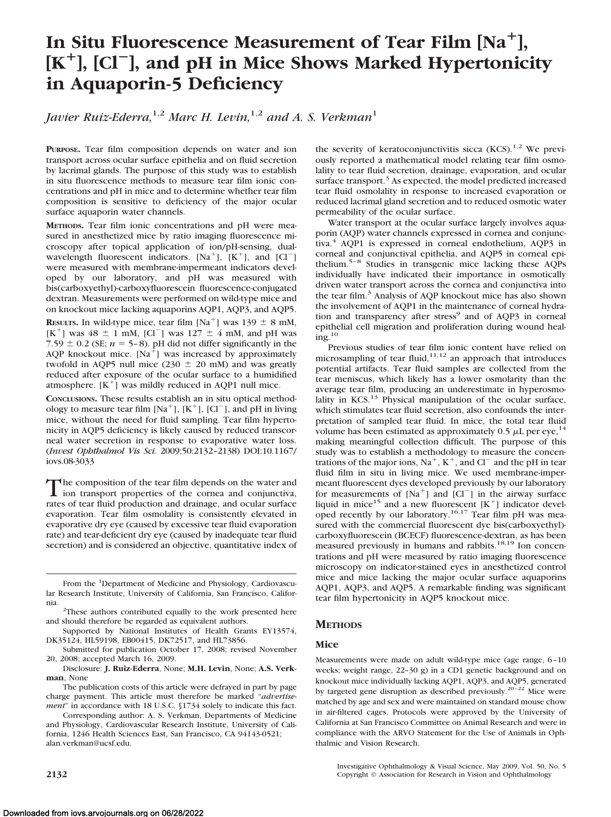# In Situ Fluorescence Measurement of Tear Film [Na<sup>+</sup>], **[K], [Cl**-**], and pH in Mice Shows Marked Hypertonicity in Aquaporin-5 Deficiency**

*Javier Ruiz-Ederra*,<sup>1,2</sup> *Marc H. Levin*,<sup>1,2</sup> *and A. S. Verkman*<sup>1</sup>

**PURPOSE.** Tear film composition depends on water and ion transport across ocular surface epithelia and on fluid secretion by lacrimal glands. The purpose of this study was to establish in situ fluorescence methods to measure tear film ionic concentrations and pH in mice and to determine whether tear film composition is sensitive to deficiency of the major ocular surface aquaporin water channels.

**METHODS.** Tear film ionic concentrations and pH were measured in anesthetized mice by ratio imaging fluorescence microscopy after topical application of ion/pH-sensing, dualwavelength fluorescent indicators.  $[Na^+]$ ,  $[K^+]$ , and  $[Cl^-]$ were measured with membrane-impermeant indicators developed by our laboratory, and pH was measured with bis(carboxyethyl)-carboxyfluorescein fluorescence-conjugated dextran. Measurements were performed on wild-type mice and on knockout mice lacking aquaporins AQP1, AQP3, and AQP5.

**RESULTS.** In wild-type mice, tear film [Na<sup>+</sup>] was  $139 \pm 8$  mM,  $[K^+]$  was 48  $\pm$  1 mM, [Cl<sup>-</sup>] was 127  $\pm$  4 mM, and pH was 7.59  $\pm$  0.2 (SE;  $n = 5-8$ ). pH did not differ significantly in the AQP knockout mice.  $[Na^+]$  was increased by approximately twofold in AQP5 null mice (230  $\pm$  20 mM) and was greatly reduced after exposure of the ocular surface to a humidified atmosphere.  $[K^+]$  was mildly reduced in AQP1 null mice.

**CONCLUSIONS.** These results establish an in situ optical methodology to measure tear film  $[Na^+]$ ,  $[K^+]$ ,  $[Cl^-]$ , and pH in living mice, without the need for fluid sampling. Tear film hypertonicity in AQP5 deficiency is likely caused by reduced transcorneal water secretion in response to evaporative water loss. (*Invest Ophthalmol Vis Sci.* 2009;50:2132–2138) DOI:10.1167/ iovs.08-3033

The composition of the tear film depends on the water and<br>ion transport properties of the cornea and conjunctiva, rates of tear fluid production and drainage, and ocular surface evaporation. Tear film osmolality is consistently elevated in evaporative dry eye (caused by excessive tear fluid evaporation rate) and tear-deficient dry eye (caused by inadequate tear fluid secretion) and is considered an objective, quantitative index of the severity of keratoconjunctivitis sicca  $(KCS)^{1,2}$  We previously reported a mathematical model relating tear film osmolality to tear fluid secretion, drainage, evaporation, and ocular surface transport.<sup>3</sup> As expected, the model predicted increased tear fluid osmolality in response to increased evaporation or reduced lacrimal gland secretion and to reduced osmotic water permeability of the ocular surface.

Water transport at the ocular surface largely involves aquaporin (AQP) water channels expressed in cornea and conjunctiva.4 AQP1 is expressed in corneal endothelium, AQP3 in corneal and conjunctival epithelia, and AQP5 in corneal epithelium.<sup>5-8</sup> Studies in transgenic mice lacking these AQPs individually have indicated their importance in osmotically driven water transport across the cornea and conjunctiva into the tear film.<sup>3</sup> Analysis of AQP knockout mice has also shown the involvement of AQP1 in the maintenance of corneal hydration and transparency after stress<sup>9</sup> and of AQP3 in corneal epithelial cell migration and proliferation during wound heal $ing.<sup>10</sup>$ 

Previous studies of tear film ionic content have relied on microsampling of tear fluid, $11,12$  an approach that introduces potential artifacts. Tear fluid samples are collected from the tear meniscus, which likely has a lower osmolarity than the average tear film, producing an underestimate in hyperosmolality in  $KCS$ <sup>13</sup> Physical manipulation of the ocular surface, which stimulates tear fluid secretion, also confounds the interpretation of sampled tear fluid. In mice, the total tear fluid volume has been estimated as approximately 0.5  $\mu$ L per eye,<sup>14</sup> making meaningful collection difficult. The purpose of this study was to establish a methodology to measure the concentrations of the major ions, Na<sup>+</sup>, K<sup>+</sup>, and Cl<sup>-</sup> and the pH in tear fluid film in situ in living mice. We used membrane-impermeant fluorescent dyes developed previously by our laboratory for measurements of  $[Na^+]$  and  $[Cl^-]$  in the airway surface liquid in mice<sup>15</sup> and a new fluorescent  $[K^+]$  indicator developed recently by our laboratory.<sup>16,17</sup> Tear film pH was measured with the commercial fluorescent dye bis(carboxyethyl) carboxyfluorescein (BCECF) fluorescence-dextran, as has been measured previously in humans and rabbits.<sup>18,19</sup> Ion concentrations and pH were measured by ratio imaging fluorescence microscopy on indicator-stained eyes in anesthetized control mice and mice lacking the major ocular surface aquaporins AQP1, AQP3, and AQP5. A remarkable finding was significant tear film hypertonicity in AQP5 knockout mice.

## **METHODS**

#### **Mice**

Measurements were made on adult wild-type mice (age range, 6 –10 weeks; weight range, 22–30 g) in a CD1 genetic background and on knockout mice individually lacking AQP1, AQP3, and AQP5, generated by targeted gene disruption as described previously.<sup>20-22</sup> Mice were matched by age and sex and were maintained on standard mouse chow in air-filtered cages. Protocols were approved by the University of California at San Francisco Committee on Animal Research and were in compliance with the ARVO Statement for the Use of Animals in Ophthalmic and Vision Research.

Investigative Ophthalmology & Visual Science, May 2009, Vol. 50, No. 5 **2132 Copyright © Association for Research in Vision and Ophthalmology** 

From the <sup>1</sup>Department of Medicine and Physiology, Cardiovascular Research Institute, University of California, San Francisco, California. <sup>2</sup>

<sup>&</sup>lt;sup>2</sup>These authors contributed equally to the work presented here and should therefore be regarded as equivalent authors.

Supported by National Institutes of Health Grants EY13574, DK35124, HL59198, EB00415, DK72517, and HL73856.

Submitted for publication October 17, 2008; revised November 20, 2008; accepted March 16, 2009.

Disclosure: **J. Ruiz-Ederra**, None; **M.H. Levin**, None; **A.S. Verkman**, None

The publication costs of this article were defrayed in part by page charge payment. This article must therefore be marked "*advertisement*" in accordance with 18 U.S.C. §1734 solely to indicate this fact.

Corresponding author: A. S. Verkman, Departments of Medicine and Physiology, Cardiovascular Research Institute, University of California, 1246 Health Sciences East, San Francisco, CA 94143-0521; alan.verkman@ucsf.edu.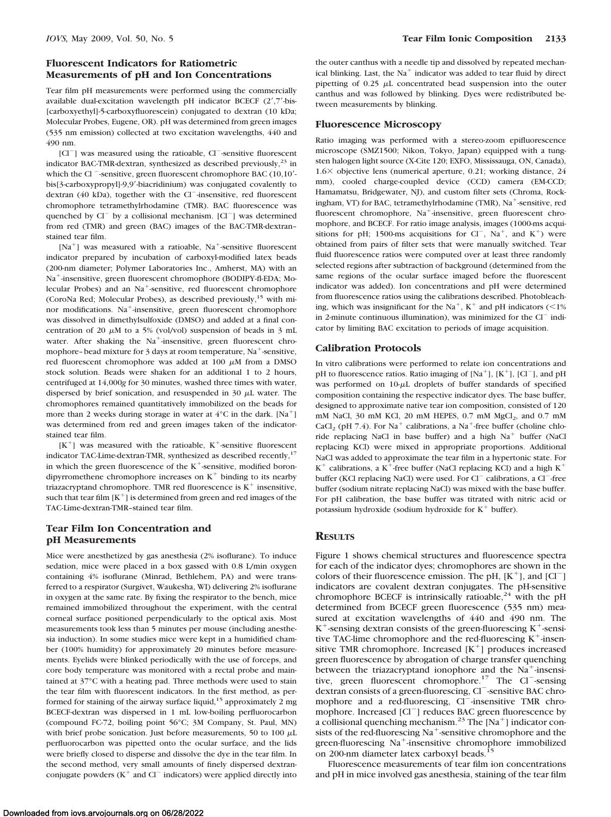# **Fluorescent Indicators for Ratiometric Measurements of pH and Ion Concentrations**

Tear film pH measurements were performed using the commercially available dual-excitation wavelength pH indicator BCECF  $(2', 7')$ -bis-[carboxyethyl]-5-carboxyfluorescein) conjugated to dextran (10 kDa; Molecular Probes, Eugene, OR). pH was determined from green images (535 nm emission) collected at two excitation wavelengths, 440 and 490 nm.

[Cl<sup>-</sup>] was measured using the ratioable, Cl<sup>-</sup>-sensitive fluorescent indicator BAC-TMR-dextran, synthesized as described previously,<sup>23</sup> in which the Cl<sup>-</sup>sensitive, green fluorescent chromophore BAC (10,10'bis[3-carboxypropyl]-9,9-biacridinium) was conjugated covalently to dextran (40 kDa), together with the Cl<sup>--</sup>insensitive, red fluorescent chromophore tetramethylrhodamine (TMR). BAC fluorescence was quenched by  $Cl^{-}$  by a collisional mechanism.  $[Cl^{-}]$  was determined from red (TMR) and green (BAC) images of the BAC-TMR-dextran– stained tear film.

[Na<sup>+</sup>] was measured with a ratioable, Na<sup>+</sup>-sensitive fluorescent indicator prepared by incubation of carboxyl-modified latex beads (200-nm diameter; Polymer Laboratories Inc., Amherst, MA) with an Na<sup>+</sup>-insensitive, green fluorescent chromophore (BODIPY-fl-EDA; Molecular Probes) and an Na<sup>+</sup>-sensitive, red fluorescent chromophore (CoroNa Red; Molecular Probes), as described previously,  $15$  with minor modifications. Na<sup>+</sup>-insensitive, green fluorescent chromophore was dissolved in dimethylsulfoxide (DMSO) and added at a final concentration of 20  $\mu$ M to a 5% (vol/vol) suspension of beads in 3 mL water. After shaking the Na<sup>+</sup>-insensitive, green fluorescent chromophore– bead mixture for 3 days at room temperature,  $Na^+$ -sensitive, red fluorescent chromophore was added at 100  $\mu$ M from a DMSO stock solution. Beads were shaken for an additional 1 to 2 hours, centrifuged at 14,000*g* for 30 minutes, washed three times with water, dispersed by brief sonication, and resuspended in 30  $\mu$ L water. The chromophores remained quantitatively immobilized on the beads for more than 2 weeks during storage in water at  $4^{\circ}$ C in the dark. [Na<sup>+</sup>] was determined from red and green images taken of the indicatorstained tear film.

 $[K^+]$  was measured with the ratioable,  $K^+$ -sensitive fluorescent indicator TAC-Lime-dextran-TMR, synthesized as described recently,<sup>17</sup> in which the green fluorescence of the  $K^+$ -sensitive, modified borondipyrromethene chromophore increases on  $K^+$  binding to its nearby triazacryptand chromophore. TMR red fluorescence is  $K^+$  insensitive, such that tear film  $[K^+]$  is determined from green and red images of the TAC-Lime-dextran-TMR–stained tear film.

# **Tear Film Ion Concentration and pH Measurements**

Mice were anesthetized by gas anesthesia (2% isoflurane). To induce sedation, mice were placed in a box gassed with 0.8 L/min oxygen containing 4% isoflurane (Minrad, Bethlehem, PA) and were transferred to a respirator (Surgivet, Waukesha, WI) delivering 2% isoflurane in oxygen at the same rate. By fixing the respirator to the bench, mice remained immobilized throughout the experiment, with the central corneal surface positioned perpendicularly to the optical axis. Most measurements took less than 5 minutes per mouse (including anesthesia induction). In some studies mice were kept in a humidified chamber (100% humidity) for approximately 20 minutes before measurements. Eyelids were blinked periodically with the use of forceps, and core body temperature was monitored with a rectal probe and maintained at 37°C with a heating pad. Three methods were used to stain the tear film with fluorescent indicators. In the first method, as performed for staining of the airway surface liquid,<sup>15</sup> approximately 2 mg BCECF-dextran was dispersed in 1 mL low-boiling perfluorocarbon (compound FC-72, boiling point 56°C; 3M Company, St. Paul, MN) with brief probe sonication. Just before measurements, 50 to 100  $\mu$ L perfluorocarbon was pipetted onto the ocular surface, and the lids were briefly closed to disperse and dissolve the dye in the tear film. In the second method, very small amounts of finely dispersed dextranconjugate powders ( $K^+$  and  $Cl^-$  indicators) were applied directly into

the outer canthus with a needle tip and dissolved by repeated mechanical blinking. Last, the  $Na<sup>+</sup>$  indicator was added to tear fluid by direct pipetting of  $0.25$   $\mu$ L concentrated bead suspension into the outer canthus and was followed by blinking. Dyes were redistributed between measurements by blinking.

#### **Fluorescence Microscopy**

Ratio imaging was performed with a stereo-zoom epifluorescence microscope (SMZ1500; Nikon, Tokyo, Japan) equipped with a tungsten halogen light source (X-Cite 120; EXFO, Mississauga, ON, Canada),  $1.6\times$  objective lens (numerical aperture, 0.21; working distance, 24 mm), cooled charge-coupled device (CCD) camera (EM-CCD; Hamamatsu, Bridgewater, NJ), and custom filter sets (Chroma, Rockingham, VT) for BAC, tetramethylrhodamine (TMR),  $Na<sup>+</sup>$ -sensitive, red fluorescent chromophore, Na<sup>+</sup>-insensitive, green fluorescent chromophore, and BCECF. For ratio image analysis, images (1000-ms acquisitions for pH; 1500-ms acquisitions for  $Cl^-$ ,  $Na^+$ , and  $K^+$ ) were obtained from pairs of filter sets that were manually switched. Tear fluid fluorescence ratios were computed over at least three randomly selected regions after subtraction of background (determined from the same regions of the ocular surface imaged before the fluorescent indicator was added). Ion concentrations and pH were determined from fluorescence ratios using the calibrations described. Photobleaching, which was insignificant for the Na<sup>+</sup>, K<sup>+</sup> and pH indicators (<1%) in 2-minute continuous illumination), was minimized for the  $Cl^-$  indicator by limiting BAC excitation to periods of image acquisition.

## **Calibration Protocols**

In vitro calibrations were performed to relate ion concentrations and pH to fluorescence ratios. Ratio imaging of  $[Na^+]$ ,  $[K^+]$ ,  $[Cl^-]$ , and pH was performed on  $10-\mu L$  droplets of buffer standards of specified composition containing the respective indicator dyes. The base buffer, designed to approximate native tear ion composition, consisted of 120 mM NaCl,  $30$  mM KCl,  $20$  mM HEPES,  $0.7$  mM MgCl<sub>2</sub>, and  $0.7$  mM CaCl<sub>2</sub> (pH 7.4). For Na<sup>+</sup> calibrations, a Na<sup>+</sup>-free buffer (choline chloride replacing NaCl in base buffer) and a high  $Na<sup>+</sup>$  buffer (NaCl replacing KCl) were mixed in appropriate proportions. Additional NaCl was added to approximate the tear film in a hypertonic state. For  $K^+$  calibrations, a  $K^+$ -free buffer (NaCl replacing KCl) and a high  $K^+$ buffer (KCl replacing NaCl) were used. For Cl<sup>-</sup> calibrations, a Cl<sup>-</sup>-free buffer (sodium nitrate replacing NaCl) was mixed with the base buffer. For pH calibration, the base buffer was titrated with nitric acid or potassium hydroxide (sodium hydroxide for  $K^+$  buffer).

# **RESULTS**

Figure 1 shows chemical structures and fluorescence spectra for each of the indicator dyes; chromophores are shown in the colors of their fluorescence emission. The pH,  $[K^+]$ , and  $[Cl^-]$ indicators are covalent dextran conjugates. The pH-sensitive chromophore BCECF is intrinsically ratioable,<sup>24</sup> with the pH determined from BCECF green fluorescence (535 nm) measured at excitation wavelengths of 440 and 490 nm. The  $K^+$ -sensing dextran consists of the green-fluorescing  $K^+$ -sensitive TAC-lime chromophore and the red-fluorescing  $K^+$ -insensitive TMR chromophore. Increased  $[K^+]$  produces increased green fluorescence by abrogation of charge transfer quenching between the triazacryptand ionophore and the  $Na^+$ -insensitive, green fluorescent chromophore.<sup>17</sup> The Cl<sup>-</sup>-sensing dextran consists of a green-fluorescing, Cl<sup>-</sup>-sensitive BAC chromophore and a red-fluorescing, Cl-insensitive TMR chromophore. Increased [Cl<sup>-</sup>] reduces BAC green fluorescence by a collisional quenching mechanism.<sup>23</sup> The [Na<sup>+</sup>] indicator consists of the red-fluorescing  $Na^+$ -sensitive chromophore and the green-fluorescing  $Na^+$ -insensitive chromophore immobilized on 200-nm diameter latex carboxyl beads.<sup>15</sup>

Fluorescence measurements of tear film ion concentrations and pH in mice involved gas anesthesia, staining of the tear film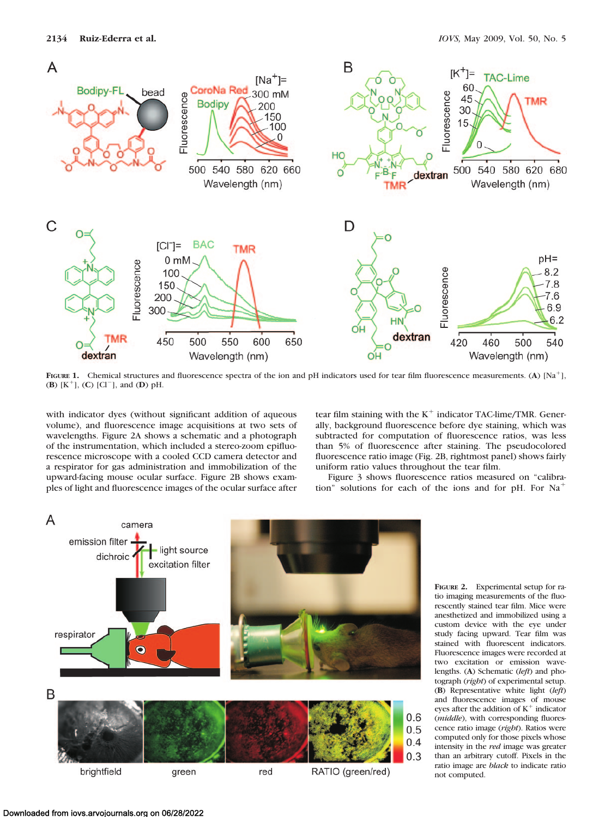

FIGURE 1. Chemical structures and fluorescence spectra of the ion and pH indicators used for tear film fluorescence measurements. (**A**) [Na<sup>+</sup>], **(B)**  $[K^+]$ , **(C)**  $[CI^-]$ , and **(D)** pH.

with indicator dyes (without significant addition of aqueous volume), and fluorescence image acquisitions at two sets of wavelengths. Figure 2A shows a schematic and a photograph of the instrumentation, which included a stereo-zoom epifluorescence microscope with a cooled CCD camera detector and a respirator for gas administration and immobilization of the upward-facing mouse ocular surface. Figure 2B shows examples of light and fluorescence images of the ocular surface after tear film staining with the  $K^+$  indicator TAC-lime/TMR. Generally, background fluorescence before dye staining, which was subtracted for computation of fluorescence ratios, was less than 5% of fluorescence after staining. The pseudocolored fluorescence ratio image (Fig. 2B, rightmost panel) shows fairly uniform ratio values throughout the tear film.

Figure 3 shows fluorescence ratios measured on "calibration" solutions for each of the ions and for pH. For  $Na<sup>+</sup>$ 



**FIGURE 2.** Experimental setup for ratio imaging measurements of the fluorescently stained tear film. Mice were anesthetized and immobilized using a custom device with the eye under study facing upward. Tear film was stained with fluorescent indicators. Fluorescence images were recorded at two excitation or emission wavelengths. (**A**) Schematic (*left*) and photograph (*right*) of experimental setup. (**B**) Representative white light (*left*) and fluorescence images of mouse eyes after the addition of  $K^+$  indicator (*middle*), with corresponding fluorescence ratio image (*right*). Ratios were computed only for those pixels whose intensity in the *red* image was greater than an arbitrary cutoff. Pixels in the ratio image are *black* to indicate ratio not computed.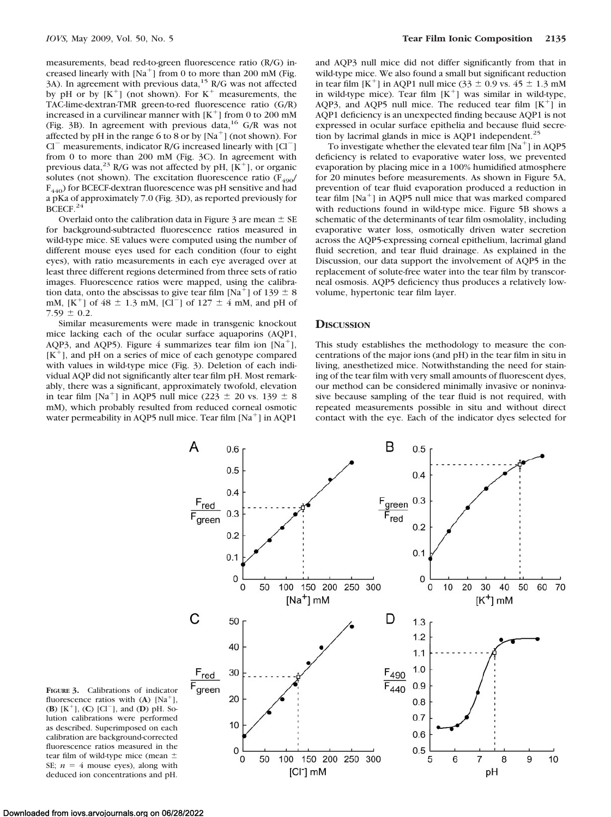measurements, bead red-to-green fluorescence ratio (R/G) increased linearly with  $[Na^+]$  from 0 to more than 200 mM (Fig. 3A). In agreement with previous data,<sup>15</sup> R/G was not affected by pH or by  $[K^+]$  (not shown). For  $K^+$  measurements, the TAC-lime-dextran-TMR green-to-red fluorescence ratio (G/R) increased in a curvilinear manner with  $[K^+]$  from 0 to 200 mM (Fig. 3B). In agreement with previous data,<sup>16</sup> G/R was not affected by pH in the range 6 to 8 or by  $[Na^+]$  (not shown). For Cl<sup>-</sup> measurements, indicator R/G increased linearly with [Cl<sup>-</sup>] from 0 to more than 200 mM (Fig. 3C). In agreement with previous data,  $^{23}$  R/G was not affected by pH, [K<sup>+</sup>], or organic solutes (not shown). The excitation fluorescence ratio  $(F_{490}/F_{490})$  $F_{440}$ ) for BCECF-dextran fluorescence was pH sensitive and had a pKa of approximately 7.0 (Fig. 3D), as reported previously for  $\rm{BCECF.}^{24}$ 

Overlaid onto the calibration data in Figure 3 are mean  $\pm$  SE for background-subtracted fluorescence ratios measured in wild-type mice. SE values were computed using the number of different mouse eyes used for each condition (four to eight eyes), with ratio measurements in each eye averaged over at least three different regions determined from three sets of ratio images. Fluorescence ratios were mapped, using the calibration data, onto the abscissas to give tear film [Na<sup>+</sup>] of 139  $\pm$  8 mM,  $[K^+]$  of 48  $\pm$  1.3 mM,  $[CI^-]$  of 127  $\pm$  4 mM, and pH of  $7.59 \pm 0.2$ .

Similar measurements were made in transgenic knockout mice lacking each of the ocular surface aquaporins (AQP1, AQP3, and AQP5). Figure 4 summarizes tear film ion  $[Na^+]$ ,  $[K^+]$ , and pH on a series of mice of each genotype compared with values in wild-type mice (Fig. 3). Deletion of each individual AQP did not significantly alter tear film pH. Most remarkably, there was a significant, approximately twofold, elevation in tear film [Na<sup>+</sup>] in AQP5 null mice (223  $\pm$  20 vs. 139  $\pm$  8 mM), which probably resulted from reduced corneal osmotic water permeability in AQP5 null mice. Tear film  $[Na^+]$  in AQP1 and AQP3 null mice did not differ significantly from that in wild-type mice. We also found a small but significant reduction in tear film  $[K^+]$  in AQP1 null mice (33  $\pm$  0.9 vs. 45  $\pm$  1.3 mM in wild-type mice). Tear film  $[K^+]$  was similar in wild-type, AQP3, and AQP5 null mice. The reduced tear film  $[K^+]$  in AQP1 deficiency is an unexpected finding because AQP1 is not expressed in ocular surface epithelia and because fluid secretion by lacrimal glands in mice is AQP1 independent.<sup>25</sup>

To investigate whether the elevated tear film  $[Na^+]$  in AQP5 deficiency is related to evaporative water loss, we prevented evaporation by placing mice in a 100% humidified atmosphere for 20 minutes before measurements. As shown in Figure 5A, prevention of tear fluid evaporation produced a reduction in tear film  $[Na^+]$  in AQP5 null mice that was marked compared with reductions found in wild-type mice. Figure 5B shows a schematic of the determinants of tear film osmolality, including evaporative water loss, osmotically driven water secretion across the AQP5-expressing corneal epithelium, lacrimal gland fluid secretion, and tear fluid drainage. As explained in the Discussion, our data support the involvement of AQP5 in the replacement of solute-free water into the tear film by transcorneal osmosis. AQP5 deficiency thus produces a relatively lowvolume, hypertonic tear film layer.

#### **DISCUSSION**

This study establishes the methodology to measure the concentrations of the major ions (and pH) in the tear film in situ in living, anesthetized mice. Notwithstanding the need for staining of the tear film with very small amounts of fluorescent dyes, our method can be considered minimally invasive or noninvasive because sampling of the tear fluid is not required, with repeated measurements possible in situ and without direct contact with the eye. Each of the indicator dyes selected for



**FIGURE 3.** Calibrations of indicator fluorescence ratios with  $(A)$  [Na<sup>+</sup>], **(B)**  $[K^+]$ , **(C)**  $[CI^-]$ , and **(D)** pH. Solution calibrations were performed as described. Superimposed on each calibration are background-corrected fluorescence ratios measured in the tear film of wild-type mice (mean SE;  $n = 4$  mouse eyes), along with deduced ion concentrations and pH.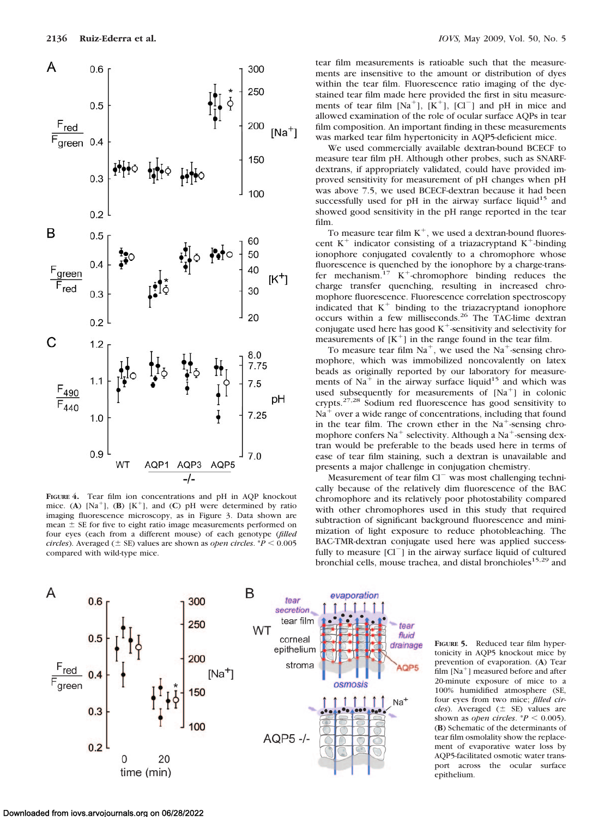

**FIGURE 4.** Tear film ion concentrations and pH in AQP knockout mice. (A)  $[Na^+]$ , (B)  $[K^+]$ , and (C) pH were determined by ratio imaging fluorescence microscopy, as in Figure 3. Data shown are mean  $\pm$  SE for five to eight ratio image measurements performed on four eyes (each from a different mouse) of each genotype (*filled circles*). Averaged ( $\pm$  SE) values are shown as *open circles*.  $*P$  < 0.005 compared with wild-type mice.

tear film measurements is ratioable such that the measurements are insensitive to the amount or distribution of dyes within the tear film. Fluorescence ratio imaging of the dyestained tear film made here provided the first in situ measurements of tear film [Na<sup>+</sup>],  $[K^+]$ , [Cl<sup>-</sup>] and pH in mice and allowed examination of the role of ocular surface AQPs in tear film composition. An important finding in these measurements was marked tear film hypertonicity in AQP5-deficient mice.

We used commercially available dextran-bound BCECF to measure tear film pH. Although other probes, such as SNARFdextrans, if appropriately validated, could have provided improved sensitivity for measurement of pH changes when pH was above 7.5, we used BCECF-dextran because it had been successfully used for  $pH$  in the airway surface liquid<sup>15</sup> and showed good sensitivity in the pH range reported in the tear film.

To measure tear film  $K^+$ , we used a dextran-bound fluorescent  $K^+$  indicator consisting of a triazacryptand  $K^+$ -binding ionophore conjugated covalently to a chromophore whose fluorescence is quenched by the ionophore by a charge-transfer mechanism. $17 K^+$ -chromophore binding reduces the charge transfer quenching, resulting in increased chromophore fluorescence. Fluorescence correlation spectroscopy indicated that  $K^+$  binding to the triazacryptand ionophore occurs within a few milliseconds.26 The TAC-lime dextran conjugate used here has good  $K^+$ -sensitivity and selectivity for measurements of  $[K^+]$  in the range found in the tear film.

To measure tear film  $Na<sup>+</sup>$ , we used the Na<sup>+</sup>-sensing chromophore, which was immobilized noncovalently on latex beads as originally reported by our laboratory for measurements of Na<sup>+</sup> in the airway surface liquid<sup>15</sup> and which was used subsequently for measurements of  $[Na<sup>+</sup>]$  in colonic crypts.27,28 Sodium red fluorescence has good sensitivity to  $Na<sup>+</sup>$  over a wide range of concentrations, including that found in the tear film. The crown ether in the  $Na<sup>+</sup>$ -sensing chromophore confers  $Na<sup>+</sup>$  selectivity. Although a  $Na<sup>+</sup>$ -sensing dextran would be preferable to the beads used here in terms of ease of tear film staining, such a dextran is unavailable and presents a major challenge in conjugation chemistry.

Measurement of tear film Cl<sup>-</sup> was most challenging technically because of the relatively dim fluorescence of the BAC chromophore and its relatively poor photostability compared with other chromophores used in this study that required subtraction of significant background fluorescence and minimization of light exposure to reduce photobleaching. The BAC-TMR-dextran conjugate used here was applied successfully to measure  $\lbrack \text{Cl}^- \rbrack$  in the airway surface liquid of cultured bronchial cells, mouse trachea, and distal bronchioles<sup>15,29</sup> and



**FIGURE 5.** Reduced tear film hypertonicity in AQP5 knockout mice by prevention of evaporation. (**A**) Tear film  $[Na^+]$  measured before and after 20-minute exposure of mice to a 100% humidified atmosphere (SE, four eyes from two mice; *filled circles*). Averaged  $(\pm$  SE) values are shown as *open circles*.  $P < 0.005$ . (**B**) Schematic of the determinants of tear film osmolality show the replacement of evaporative water loss by AQP5-facilitated osmotic water transport across the ocular surface epithelium.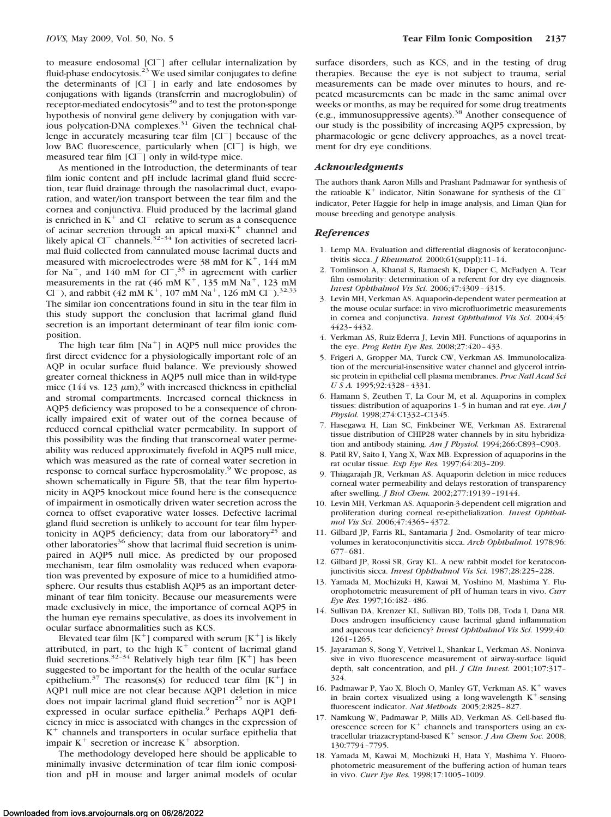to measure endosomal  $[Cl^{-}]$  after cellular internalization by fluid-phase endocytosis. $^{23}$  We used similar conjugates to define the determinants of  $[Cl^-]$  in early and late endosomes by conjugations with ligands (transferrin and macroglobulin) of receptor-mediated endocytosis<sup>30</sup> and to test the proton-sponge hypothesis of nonviral gene delivery by conjugation with various polycation-DNA complexes.<sup>31</sup> Given the technical challenge in accurately measuring tear film  $[CI^-]$  because of the low BAC fluorescence, particularly when [Cl<sup>-</sup>] is high, we measured tear film [Cl<sup>-</sup>] only in wild-type mice.

As mentioned in the Introduction, the determinants of tear film ionic content and pH include lacrimal gland fluid secretion, tear fluid drainage through the nasolacrimal duct, evaporation, and water/ion transport between the tear film and the cornea and conjunctiva. Fluid produced by the lacrimal gland is enriched in  $K^+$  and Cl<sup>-</sup> relative to serum as a consequence of acinar secretion through an apical maxi- $K^+$  channel and likely apical  $CI^-$  channels.<sup>32-34</sup> Ion activities of secreted lacrimal fluid collected from cannulated mouse lacrimal ducts and measured with microelectrodes were 38 mM for  $K^+$ , 144 mM for Na<sup>+</sup>, and 140 mM for  $CI^{-35}$  in agreement with earlier measurements in the rat  $(46 \text{ mM K}^+, 135 \text{ mM Na}^+, 123 \text{ mM})$ Cl<sup>-</sup>), and rabbit (42 mM K<sup>+</sup>, 107 mM Na<sup>+</sup>, 126 mM Cl<sup>-</sup>).<sup>32,33</sup> The similar ion concentrations found in situ in the tear film in this study support the conclusion that lacrimal gland fluid secretion is an important determinant of tear film ionic composition.

The high tear film  $[Na^+]$  in AQP5 null mice provides the first direct evidence for a physiologically important role of an AQP in ocular surface fluid balance. We previously showed greater corneal thickness in AQP5 null mice than in wild-type mice (144 vs. 123  $\mu$ m),<sup>9</sup> with increased thickness in epithelial and stromal compartments. Increased corneal thickness in AQP5 deficiency was proposed to be a consequence of chronically impaired exit of water out of the cornea because of reduced corneal epithelial water permeability. In support of this possibility was the finding that transcorneal water permeability was reduced approximately fivefold in AQP5 null mice, which was measured as the rate of corneal water secretion in response to corneal surface hyperosmolality.<sup>9</sup> We propose, as shown schematically in Figure 5B, that the tear film hypertonicity in AQP5 knockout mice found here is the consequence of impairment in osmotically driven water secretion across the cornea to offset evaporative water losses. Defective lacrimal gland fluid secretion is unlikely to account for tear film hypertonicity in AQP5 deficiency; data from our laboratory<sup>25</sup> and other laboratories<sup>36</sup> show that lacrimal fluid secretion is unimpaired in AQP5 null mice. As predicted by our proposed mechanism, tear film osmolality was reduced when evaporation was prevented by exposure of mice to a humidified atmosphere. Our results thus establish AQP5 as an important determinant of tear film tonicity. Because our measurements were made exclusively in mice, the importance of corneal AQP5 in the human eye remains speculative, as does its involvement in ocular surface abnormalities such as KCS.

Elevated tear film  $[K^+]$  compared with serum  $[K^+]$  is likely attributed, in part, to the high  $K^+$  content of lacrimal gland fluid secretions.<sup>32-34</sup> Relatively high tear film  $[K^+]$  has been suggested to be important for the health of the ocular surface epithelium.<sup>37</sup> The reasons(s) for reduced tear film  $[K^+]$  in AQP1 null mice are not clear because AQP1 deletion in mice does not impair lacrimal gland fluid secretion<sup>25</sup> nor is AQP1 expressed in ocular surface epithelia.<sup>9</sup> Perhaps AQP1 deficiency in mice is associated with changes in the expression of  $K<sup>+</sup>$  channels and transporters in ocular surface epithelia that impair  $K^+$  secretion or increase  $K^+$  absorption.

The methodology developed here should be applicable to minimally invasive determination of tear film ionic composition and pH in mouse and larger animal models of ocular surface disorders, such as KCS, and in the testing of drug therapies. Because the eye is not subject to trauma, serial measurements can be made over minutes to hours, and repeated measurements can be made in the same animal over weeks or months, as may be required for some drug treatments (e.g., immunosuppressive agents).38 Another consequence of our study is the possibility of increasing AQP5 expression, by pharmacologic or gene delivery approaches, as a novel treatment for dry eye conditions.

#### *Acknowledgments*

The authors thank Aaron Mills and Prashant Padmawar for synthesis of the ratioable  $K^+$  indicator, Nitin Sonawane for synthesis of the  $Cl^$ indicator, Peter Haggie for help in image analysis, and Liman Qian for mouse breeding and genotype analysis.

#### *References*

- 1. Lemp MA. Evaluation and differential diagnosis of keratoconjunctivitis sicca. *J Rheumatol.* 2000;61(suppl):11–14.
- 2. Tomlinson A, Khanal S, Ramaesh K, Diaper C, McFadyen A. Tear film osmolarity: determination of a referent for dry eye diagnosis. *Invest Ophthalmol Vis Sci.* 2006;47:4309 – 4315.
- 3. Levin MH, Verkman AS. Aquaporin-dependent water permeation at the mouse ocular surface: in vivo microfluorimetric measurements in cornea and conjunctiva. *Invest Ophthalmol Vis Sci.* 2004;45: 4423– 4432.
- 4. Verkman AS, Ruiz-Ederra J, Levin MH. Functions of aquaporins in the eye. *Prog Retin Eye Res.* 2008;27:420 – 433.
- 5. Frigeri A, Gropper MA, Turck CW, Verkman AS. Immunolocalization of the mercurial-insensitive water channel and glycerol intrinsic protein in epithelial cell plasma membranes. *Proc Natl Acad Sci U S A.* 1995;92:4328 – 4331.
- 6. Hamann S, Zeuthen T, La Cour M, et al. Aquaporins in complex tissues: distribution of aquaporins 1–5 in human and rat eye. *Am J Physiol.* 1998;274:C1332–C1345.
- 7. Hasegawa H, Lian SC, Finkbeiner WE, Verkman AS. Extrarenal tissue distribution of CHIP28 water channels by in situ hybridization and antibody staining. *Am J Physiol.* 1994;266:C893–C903.
- 8. Patil RV, Saito I, Yang X, Wax MB. Expression of aquaporins in the rat ocular tissue. *Exp Eye Res.* 1997;64:203–209.
- 9. Thiagarajah JR, Verkman AS. Aquaporin deletion in mice reduces corneal water permeability and delays restoration of transparency after swelling. *J Biol Chem.* 2002;277:19139 –19144.
- 10. Levin MH, Verkman AS. Aquaporin-3-dependent cell migration and proliferation during corneal re-epithelialization. *Invest Ophthalmol Vis Sci.* 2006;47:4365– 4372.
- 11. Gilbard JP, Farris RL, Santamaria J 2nd. Osmolarity of tear microvolumes in keratoconjunctivitis sicca. *Arch Ophthalmol.* 1978;96: 677– 681.
- 12. Gilbard JP, Rossi SR, Gray KL. A new rabbit model for keratoconjunctivitis sicca. *Invest Ophthalmol Vis Sci.* 1987;28:225–228.
- 13. Yamada M, Mochizuki H, Kawai M, Yoshino M, Mashima Y. Fluorophotometric measurement of pH of human tears in vivo. *Curr Eye Res.* 1997;16:482– 486.
- 14. Sullivan DA, Krenzer KL, Sullivan BD, Tolls DB, Toda I, Dana MR. Does androgen insufficiency cause lacrimal gland inflammation and aqueous tear deficiency? *Invest Ophthalmol Vis Sci.* 1999;40: 1261–1265.
- 15. Jayaraman S, Song Y, Vetrivel L, Shankar L, Verkman AS. Noninvasive in vivo fluorescence measurement of airway-surface liquid depth, salt concentration, and pH. *J Clin Invest.* 2001;107:317– 324.
- 16. Padmawar P, Yao X, Bloch O, Manley GT, Verkman AS. K<sup>+</sup> waves in brain cortex visualized using a long-wavelength  $K^+$ -sensing fluorescent indicator. Nat Methods. 2005;2:825-827
- 17. Namkung W, Padmawar P, Mills AD, Verkman AS. Cell-based fluorescence screen for  $K^+$  channels and transporters using an extracellular triazacryptand-based K<sup>+</sup> sensor. *J Am Chem Soc.* 2008; 130:7794 –7795.
- 18. Yamada M, Kawai M, Mochizuki H, Hata Y, Mashima Y. Fluorophotometric measurement of the buffering action of human tears in vivo. *Curr Eye Res.* 1998;17:1005–1009.